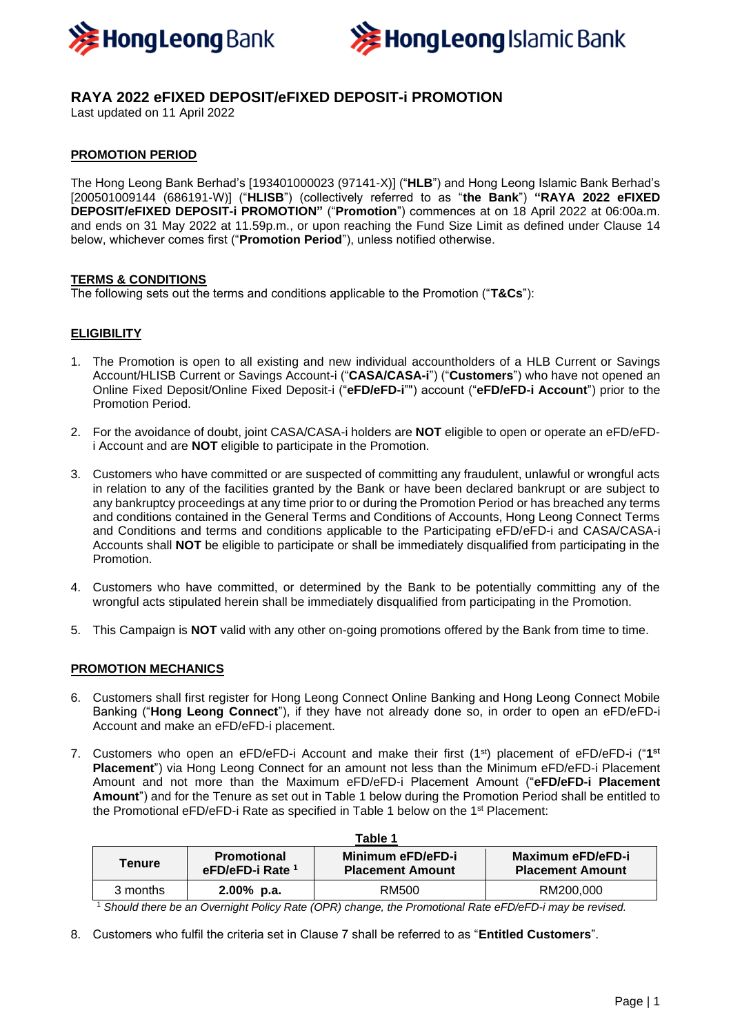



# **RAYA 2022 eFIXED DEPOSIT/eFIXED DEPOSIT-i PROMOTION**

Last updated on 11 April 2022

# **PROMOTION PERIOD**

The Hong Leong Bank Berhad's [193401000023 (97141-X)] ("**HLB**") and Hong Leong Islamic Bank Berhad's [200501009144 (686191-W)] ("**HLISB**") (collectively referred to as "**the Bank**") **"RAYA 2022 eFIXED DEPOSIT/eFIXED DEPOSIT-i PROMOTION"** ("**Promotion**") commences at on 18 April 2022 at 06:00a.m. and ends on 31 May 2022 at 11.59p.m., or upon reaching the Fund Size Limit as defined under Clause 14 below, whichever comes first ("**Promotion Period**"), unless notified otherwise.

#### **TERMS & CONDITIONS**

The following sets out the terms and conditions applicable to the Promotion ("**T&Cs**"):

# **ELIGIBILITY**

- 1. The Promotion is open to all existing and new individual accountholders of a HLB Current or Savings Account/HLISB Current or Savings Account-i ("**CASA/CASA-i**") ("**Customers**") who have not opened an Online Fixed Deposit/Online Fixed Deposit-i ("**eFD/eFD-i**"") account ("**eFD/eFD-i Account**") prior to the Promotion Period.
- 2. For the avoidance of doubt, joint CASA/CASA-i holders are **NOT** eligible to open or operate an eFD/eFDi Account and are **NOT** eligible to participate in the Promotion.
- 3. Customers who have committed or are suspected of committing any fraudulent, unlawful or wrongful acts in relation to any of the facilities granted by the Bank or have been declared bankrupt or are subject to any bankruptcy proceedings at any time prior to or during the Promotion Period or has breached any terms and conditions contained in the General Terms and Conditions of Accounts, Hong Leong Connect Terms and Conditions and terms and conditions applicable to the Participating eFD/eFD-i and CASA/CASA-i Accounts shall **NOT** be eligible to participate or shall be immediately disqualified from participating in the Promotion.
- 4. Customers who have committed, or determined by the Bank to be potentially committing any of the wrongful acts stipulated herein shall be immediately disqualified from participating in the Promotion.
- 5. This Campaign is **NOT** valid with any other on-going promotions offered by the Bank from time to time.

# **PROMOTION MECHANICS**

- 6. Customers shall first register for Hong Leong Connect Online Banking and Hong Leong Connect Mobile Banking ("**Hong Leong Connect**"), if they have not already done so, in order to open an eFD/eFD-i Account and make an eFD/eFD-i placement.
- 7. Customers who open an eFD/eFD-i Account and make their first (1<sup>st</sup>) placement of eFD/eFD-i ("1<sup>st</sup> **Placement**") via Hong Leong Connect for an amount not less than the Minimum eFD/eFD-i Placement Amount and not more than the Maximum eFD/eFD-i Placement Amount ("**eFD/eFD-i Placement Amount**") and for the Tenure as set out in Table 1 below during the Promotion Period shall be entitled to the Promotional eFD/eFD-i Rate as specified in Table 1 below on the 1st Placement:

| Table 1                          |                                                   |                                              |                                              |
|----------------------------------|---------------------------------------------------|----------------------------------------------|----------------------------------------------|
| Tenure                           | <b>Promotional</b><br>eFD/eFD-i Rate <sup>1</sup> | Minimum eFD/eFD-i<br><b>Placement Amount</b> | Maximum eFD/eFD-i<br><b>Placement Amount</b> |
| 3 months<br>$\sim$ $\sim$ $\sim$ | $2.00\%$ p.a.                                     | RM500                                        | RM200,000                                    |

<sup>1</sup> *Should there be an Overnight Policy Rate (OPR) change, the Promotional Rate eFD/eFD-i may be revised.*

8. Customers who fulfil the criteria set in Clause 7 shall be referred to as "**Entitled Customers**".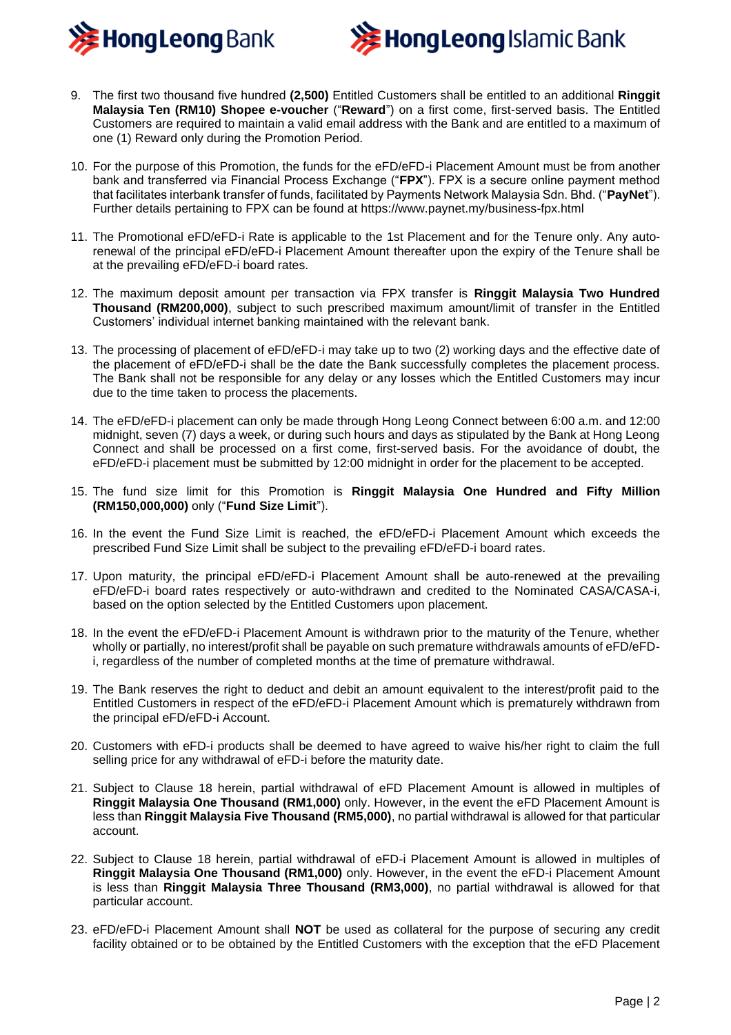



- 9. The first two thousand five hundred **(2,500)** Entitled Customers shall be entitled to an additional **Ringgit Malaysia Ten (RM10) Shopee e-voucher** ("**Reward**") on a first come, first-served basis. The Entitled Customers are required to maintain a valid email address with the Bank and are entitled to a maximum of one (1) Reward only during the Promotion Period.
- 10. For the purpose of this Promotion, the funds for the eFD/eFD-i Placement Amount must be from another bank and transferred via Financial Process Exchange ("**FPX**"). FPX is a secure online payment method that facilitates interbank transfer of funds, facilitated by Payments Network Malaysia Sdn. Bhd. ("**PayNet**"). Further details pertaining to FPX can be found at https://www.paynet.my/business-fpx.html
- 11. The Promotional eFD/eFD-i Rate is applicable to the 1st Placement and for the Tenure only. Any autorenewal of the principal eFD/eFD-i Placement Amount thereafter upon the expiry of the Tenure shall be at the prevailing eFD/eFD-i board rates.
- 12. The maximum deposit amount per transaction via FPX transfer is **Ringgit Malaysia Two Hundred Thousand (RM200,000)**, subject to such prescribed maximum amount/limit of transfer in the Entitled Customers' individual internet banking maintained with the relevant bank.
- 13. The processing of placement of eFD/eFD-i may take up to two (2) working days and the effective date of the placement of eFD/eFD-i shall be the date the Bank successfully completes the placement process. The Bank shall not be responsible for any delay or any losses which the Entitled Customers may incur due to the time taken to process the placements.
- 14. The eFD/eFD-i placement can only be made through Hong Leong Connect between 6:00 a.m. and 12:00 midnight, seven (7) days a week, or during such hours and days as stipulated by the Bank at Hong Leong Connect and shall be processed on a first come, first-served basis. For the avoidance of doubt, the eFD/eFD-i placement must be submitted by 12:00 midnight in order for the placement to be accepted.
- 15. The fund size limit for this Promotion is **Ringgit Malaysia One Hundred and Fifty Million (RM150,000,000)** only ("**Fund Size Limit**").
- 16. In the event the Fund Size Limit is reached, the eFD/eFD-i Placement Amount which exceeds the prescribed Fund Size Limit shall be subject to the prevailing eFD/eFD-i board rates.
- 17. Upon maturity, the principal eFD/eFD-i Placement Amount shall be auto-renewed at the prevailing eFD/eFD-i board rates respectively or auto-withdrawn and credited to the Nominated CASA/CASA-i, based on the option selected by the Entitled Customers upon placement.
- 18. In the event the eFD/eFD-i Placement Amount is withdrawn prior to the maturity of the Tenure, whether wholly or partially, no interest/profit shall be payable on such premature withdrawals amounts of eFD/eFDi, regardless of the number of completed months at the time of premature withdrawal.
- 19. The Bank reserves the right to deduct and debit an amount equivalent to the interest/profit paid to the Entitled Customers in respect of the eFD/eFD-i Placement Amount which is prematurely withdrawn from the principal eFD/eFD-i Account.
- 20. Customers with eFD-i products shall be deemed to have agreed to waive his/her right to claim the full selling price for any withdrawal of eFD-i before the maturity date.
- 21. Subject to Clause 18 herein, partial withdrawal of eFD Placement Amount is allowed in multiples of **Ringgit Malaysia One Thousand (RM1,000)** only. However, in the event the eFD Placement Amount is less than **Ringgit Malaysia Five Thousand (RM5,000)**, no partial withdrawal is allowed for that particular account.
- 22. Subject to Clause 18 herein, partial withdrawal of eFD-i Placement Amount is allowed in multiples of **Ringgit Malaysia One Thousand (RM1,000)** only. However, in the event the eFD-i Placement Amount is less than **Ringgit Malaysia Three Thousand (RM3,000)**, no partial withdrawal is allowed for that particular account.
- 23. eFD/eFD-i Placement Amount shall **NOT** be used as collateral for the purpose of securing any credit facility obtained or to be obtained by the Entitled Customers with the exception that the eFD Placement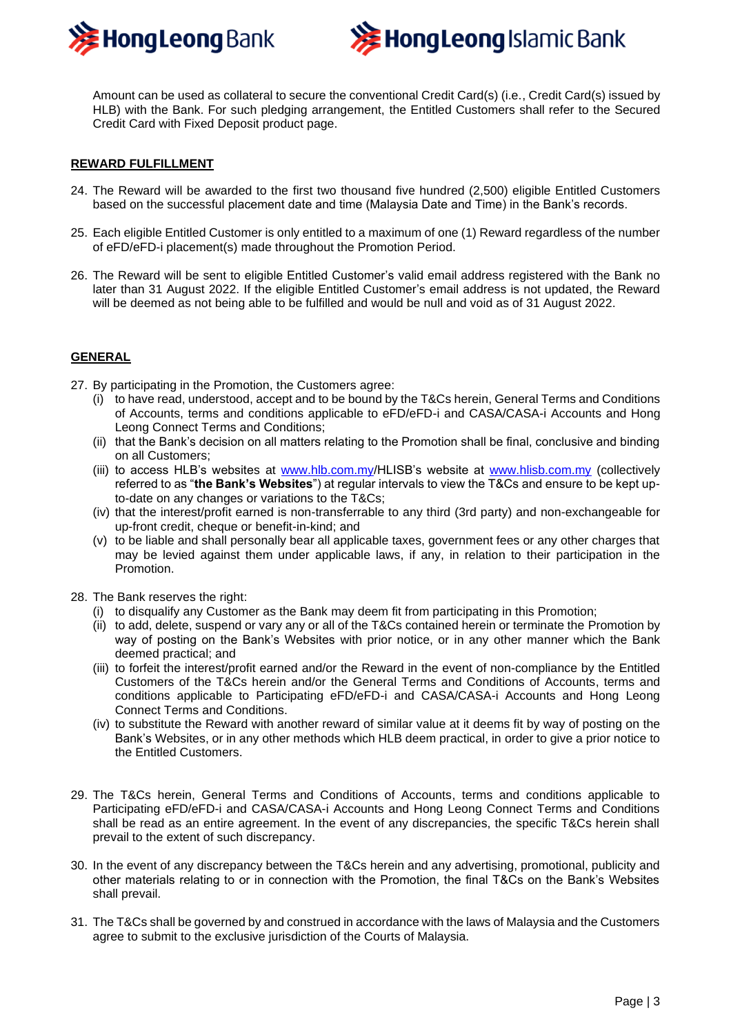



Amount can be used as collateral to secure the conventional Credit Card(s) (i.e., Credit Card(s) issued by HLB) with the Bank. For such pledging arrangement, the Entitled Customers shall refer to the Secured Credit Card with Fixed Deposit product page.

#### **REWARD FULFILLMENT**

- 24. The Reward will be awarded to the first two thousand five hundred (2,500) eligible Entitled Customers based on the successful placement date and time (Malaysia Date and Time) in the Bank's records.
- 25. Each eligible Entitled Customer is only entitled to a maximum of one (1) Reward regardless of the number of eFD/eFD-i placement(s) made throughout the Promotion Period.
- 26. The Reward will be sent to eligible Entitled Customer's valid email address registered with the Bank no later than 31 August 2022. If the eligible Entitled Customer's email address is not updated, the Reward will be deemed as not being able to be fulfilled and would be null and void as of 31 August 2022.

#### **GENERAL**

- 27. By participating in the Promotion, the Customers agree:
	- (i) to have read, understood, accept and to be bound by the T&Cs herein, General Terms and Conditions of Accounts, terms and conditions applicable to eFD/eFD-i and CASA/CASA-i Accounts and Hong Leong Connect Terms and Conditions;
	- (ii) that the Bank's decision on all matters relating to the Promotion shall be final, conclusive and binding on all Customers;
	- (iii) to access HLB's websites at [www.hlb.com.my/](http://www.hlb.com.my/)HLISB's website at [www.hlisb.com.my](http://www.hlisb.com.my/) (collectively referred to as "**the Bank's Websites**") at regular intervals to view the T&Cs and ensure to be kept upto-date on any changes or variations to the T&Cs;
	- (iv) that the interest/profit earned is non-transferrable to any third (3rd party) and non-exchangeable for up-front credit, cheque or benefit-in-kind; and
	- (v) to be liable and shall personally bear all applicable taxes, government fees or any other charges that may be levied against them under applicable laws, if any, in relation to their participation in the Promotion.
- 28. The Bank reserves the right:
	- (i) to disqualify any Customer as the Bank may deem fit from participating in this Promotion;
	- (ii) to add, delete, suspend or vary any or all of the T&Cs contained herein or terminate the Promotion by way of posting on the Bank's Websites with prior notice, or in any other manner which the Bank deemed practical; and
	- (iii) to forfeit the interest/profit earned and/or the Reward in the event of non-compliance by the Entitled Customers of the T&Cs herein and/or the General Terms and Conditions of Accounts, terms and conditions applicable to Participating eFD/eFD-i and CASA/CASA-i Accounts and Hong Leong Connect Terms and Conditions.
	- (iv) to substitute the Reward with another reward of similar value at it deems fit by way of posting on the Bank's Websites, or in any other methods which HLB deem practical, in order to give a prior notice to the Entitled Customers.
- 29. The T&Cs herein, General Terms and Conditions of Accounts, terms and conditions applicable to Participating eFD/eFD-i and CASA/CASA-i Accounts and Hong Leong Connect Terms and Conditions shall be read as an entire agreement. In the event of any discrepancies, the specific T&Cs herein shall prevail to the extent of such discrepancy.
- 30. In the event of any discrepancy between the T&Cs herein and any advertising, promotional, publicity and other materials relating to or in connection with the Promotion, the final T&Cs on the Bank's Websites shall prevail.
- 31. The T&Cs shall be governed by and construed in accordance with the laws of Malaysia and the Customers agree to submit to the exclusive jurisdiction of the Courts of Malaysia.